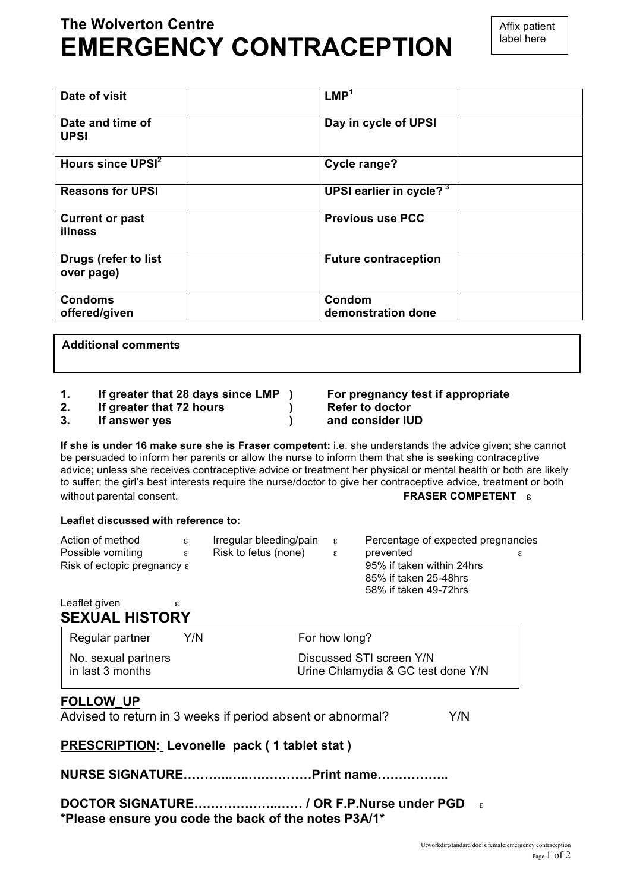# **The Wolverton Centre EMERGENCY CONTRACEPTION**

| Date of visit                      | LMP <sup>1</sup>                    |
|------------------------------------|-------------------------------------|
| Date and time of<br><b>UPSI</b>    | Day in cycle of UPSI                |
| Hours since UPSI <sup>2</sup>      | <b>Cycle range?</b>                 |
| <b>Reasons for UPSI</b>            | UPSI earlier in cycle? <sup>3</sup> |
| <b>Current or past</b><br>illness  | <b>Previous use PCC</b>             |
| Drugs (refer to list<br>over page) | <b>Future contraception</b>         |
| <b>Condoms</b><br>offered/given    | Condom<br>demonstration done        |

**Additional comments**

- **1. If greater that 28 days since LMP ) For pregnancy test if appropriate**
- **2. If greater that 72 hours ) Refer to doctor**
- **3. If answer yes ) and consider IUD**

**If she is under 16 make sure she is Fraser competent:** i.e. she understands the advice given; she cannot be persuaded to inform her parents or allow the nurse to inform them that she is seeking contraceptive advice; unless she receives contraceptive advice or treatment her physical or mental health or both are likely to suffer; the girl's best interests require the nurse/doctor to give her contraceptive advice, treatment or both without parental consent. **FRASER COMPETENT** ε

#### **Leaflet discussed with reference to:**

| Action of method                        | $\varepsilon$ | Irregular bleeding/pain | $\varepsilon$             | Percentage of expected pregnancies |   |
|-----------------------------------------|---------------|-------------------------|---------------------------|------------------------------------|---|
| Possible vomiting                       | $\varepsilon$ | Risk to fetus (none)    | $\varepsilon$             | prevented                          | ε |
| Risk of ectopic pregnancy $\varepsilon$ |               |                         | 95% if taken within 24hrs |                                    |   |
|                                         |               |                         |                           | 85% if taken 25-48hrs              |   |
|                                         |               |                         |                           | 58% if taken 49-72hrs              |   |
| Leaflet given                           |               |                         |                           |                                    |   |

#### Leaflet given  $\varepsilon$ **SEXUAL HISTORY**

| Regular partner                         | Y/N | For how long?                                                  |
|-----------------------------------------|-----|----------------------------------------------------------------|
| No. sexual partners<br>in last 3 months |     | Discussed STI screen Y/N<br>Urine Chlamydia & GC test done Y/N |

# **FOLLOW\_UP**

Advised to return in 3 weeks if period absent or abnormal? Y/N

# **PRESCRIPTION: Levonelle pack ( 1 tablet stat )**

# **NURSE SIGNATURE………..…..……………Print name……………..**

**DOCTOR SIGNATURE………………..…… / OR F.P.Nurse under PGD** ε **\*Please ensure you code the back of the notes P3A/1\***